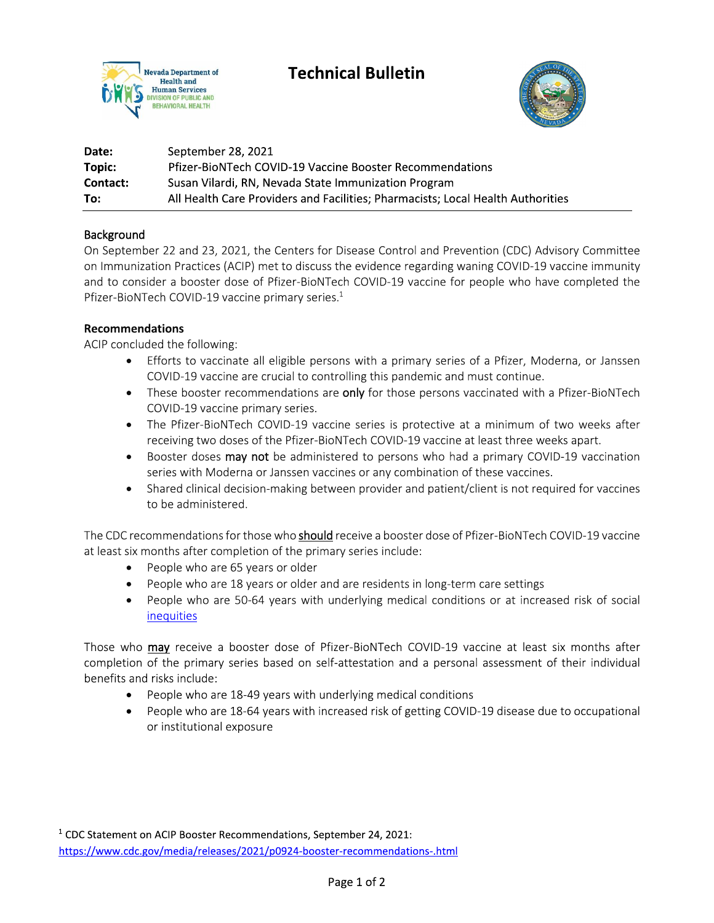



| Date:    | September 28, 2021                                                              |
|----------|---------------------------------------------------------------------------------|
| Topic:   | <b>Pfizer-BioNTech COVID-19 Vaccine Booster Recommendations</b>                 |
| Contact: | Susan Vilardi, RN, Nevada State Immunization Program                            |
| To:      | All Health Care Providers and Facilities; Pharmacists; Local Health Authorities |

## Background

On September 22 and 23, 2021, the Centers for Disease Control and Prevention (CDC) Advisory Committee on Immunization Practices (ACIP) met to discuss the evidence regarding waning COVID-19 vaccine immunity and to consider a booster dose of Pfizer-BioNTech COVID-19 vaccine for people who have completed the Pfizer-BioNTech COVID-19 vaccine primary series.<sup>1</sup>

## **Recommendations**

ACIP concluded the following:

- Efforts to vaccinate all eligible persons with a primary series of a Pfizer, Moderna, or Janssen COVID-19 vaccine are crucial to controlling this pandemic and must continue.
- These booster recommendations are only for those persons vaccinated with a Pfizer-BioNTech COVID-19 vaccine primary series.
- The Pfizer-BioNTech COVID-19 vaccine series is protective at a minimum of two weeks after receiving two doses of the Pfizer-BioNTech COVID-19 vaccine at least three weeks apart.
- Booster doses may not be administered to persons who had a primary COVID-19 vaccination series with Moderna or Janssen vaccines or any combination of these vaccines.
- Shared clinical decision-making between provider and patient/client is not required for vaccines to be administered.

The CDC recommendations for those who should receive a booster dose of Pfizer-BioNTech COVID-19 vaccine at least six months after completion of the primary series include:

- People who are 65 years or older
- People who are 18 years or older and are residents in long-term care settings
- People who are 50-64 years with underlying medical conditions or at increased risk of social inequities

Those who may receive a booster dose of Pfizer-BioNTech COVID-19 vaccine at least six months after completion of the primary series based on self-attestation and a personal assessment of their individual benefits and risks include:

- People who are 18-49 years with underlying medical conditions
- People who are 18-64 years with increased risk of getting COVID-19 disease due to occupational or institutional exposure